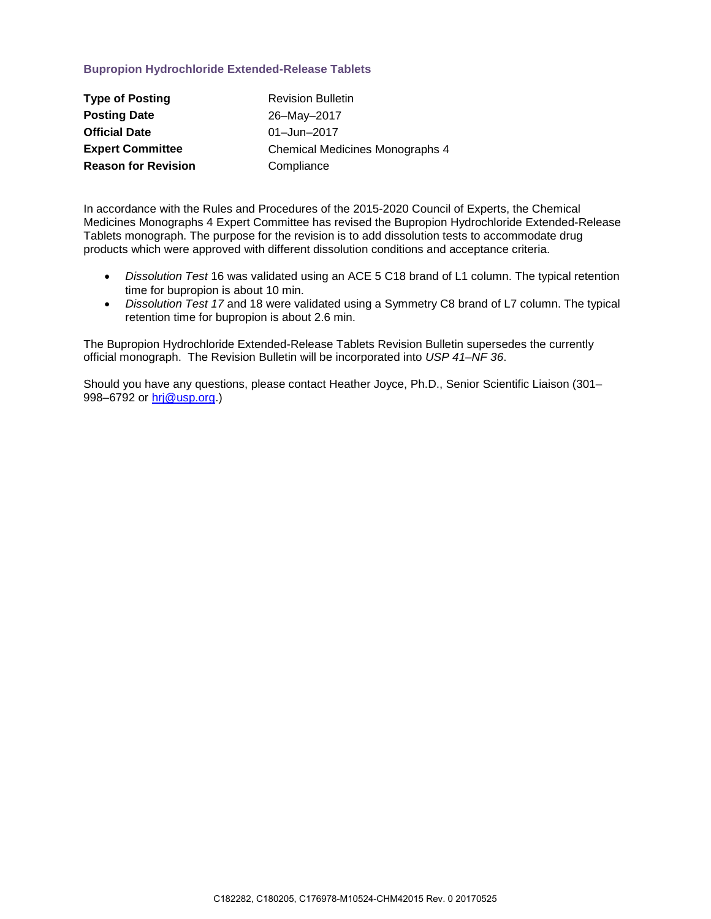## **Bupropion Hydrochloride Extended-Release Tablets**

| <b>Type of Posting</b>     | <b>Revision Bulletin</b>               |
|----------------------------|----------------------------------------|
| <b>Posting Date</b>        | 26-May-2017                            |
| <b>Official Date</b>       | 01-Jun-2017                            |
| <b>Expert Committee</b>    | <b>Chemical Medicines Monographs 4</b> |
| <b>Reason for Revision</b> | Compliance                             |

In accordance with the Rules and Procedures of the 2015-2020 Council of Experts, the Chemical Medicines Monographs 4 Expert Committee has revised the Bupropion Hydrochloride Extended-Release Tablets monograph. The purpose for the revision is to add dissolution tests to accommodate drug products which were approved with different dissolution conditions and acceptance criteria.

- *Dissolution Test* 16 was validated using an ACE 5 C18 brand of L1 column. The typical retention time for bupropion is about 10 min.
- *Dissolution Test 17* and 18 were validated using a Symmetry C8 brand of L7 column. The typical retention time for bupropion is about 2.6 min.

The Bupropion Hydrochloride Extended-Release Tablets Revision Bulletin supersedes the currently official monograph. The Revision Bulletin will be incorporated into *USP 41–NF 36*.

Should you have any questions, please contact Heather Joyce, Ph.D., Senior Scientific Liaison (301– 998–6792 or [hrj@usp.org.](mailto:hrj@usp.org))